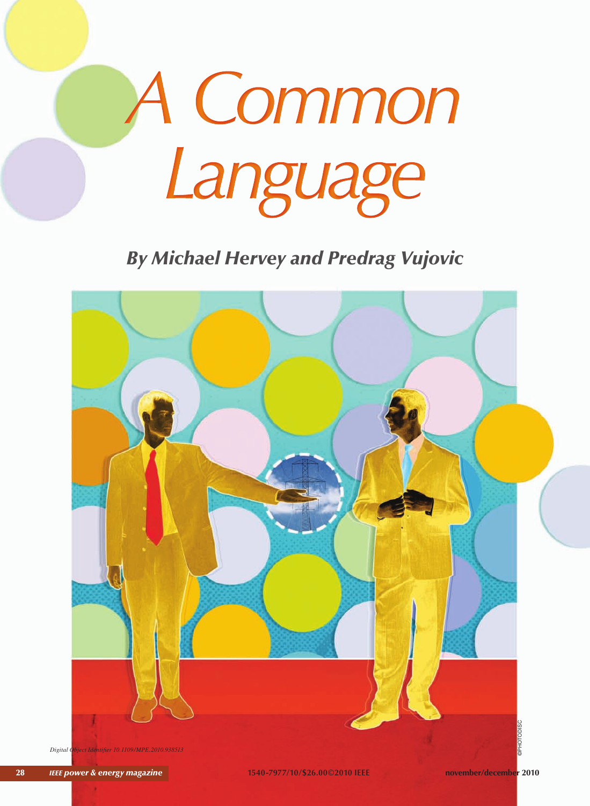

## *By Michael Hervey and Predrag Vujovic*

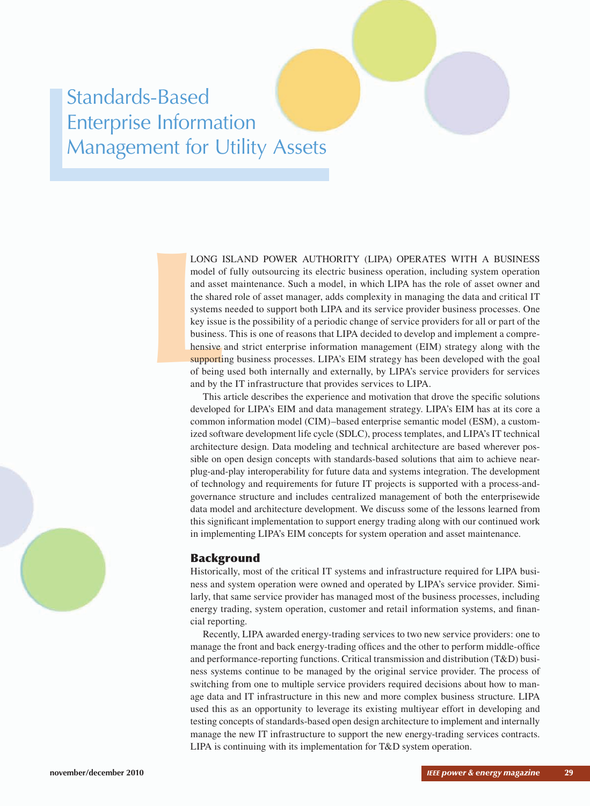# Standards-Based Enterprise Information Management for Utility Assets

LONG I<br>model of<br>and asset<br>the share<br>systems is<br>key issue<br>business.<br>hensive<br>supportin<br>of being<br>and by the This is LONG ISLAND POWER AUTHORITY (LIPA) OPERATES WITH A BUSINESS model of fully outsourcing its electric business operation, including system operation and asset maintenance. Such a model, in which LIPA has the role of asset owner and the shared role of asset manager, adds complexity in managing the data and critical IT systems needed to support both LIPA and its service provider business processes. One key issue is the possibility of a periodic change of service providers for all or part of the business. This is one of reasons that LIPA decided to develop and implement a comprehensive and strict enterprise information management (EIM) strategy along with the supporting business processes. LIPA's EIM strategy has been developed with the goal of being used both internally and externally, by LIPA's service providers for services and by the IT infrastructure that provides services to LIPA.

This article describes the experience and motivation that drove the specific solutions developed for LIPA's EIM and data management strategy. LIPA's EIM has at its core a common information model (CIM)–based enterprise semantic model (ESM), a customized software development life cycle (SDLC), process templates, and LIPA's IT technical architecture design. Data modeling and technical architecture are based wherever possible on open design concepts with standards-based solutions that aim to achieve nearplug-and-play interoperability for future data and systems integration. The development of technology and requirements for future IT projects is supported with a process-andgovernance structure and includes centralized management of both the enterprisewide data model and architecture development. We discuss some of the lessons learned from this significant implementation to support energy trading along with our continued work in implementing LIPA's EIM concepts for system operation and asset maintenance.

## **Background**

Historically, most of the critical IT systems and infrastructure required for LIPA business and system operation were owned and operated by LIPA's service provider. Similarly, that same service provider has managed most of the business processes, including energy trading, system operation, customer and retail information systems, and financial reporting.

Recently, LIPA awarded energy-trading services to two new service providers: one to manage the front and back energy-trading offices and the other to perform middle-office and performance-reporting functions. Critical transmission and distribution (T&D) business systems continue to be managed by the original service provider. The process of switching from one to multiple service providers required decisions about how to manage data and IT infrastructure in this new and more complex business structure. LIPA used this as an opportunity to leverage its existing multiyear effort in developing and testing concepts of standards-based open design architecture to implement and internally manage the new IT infrastructure to support the new energy-trading services contracts. LIPA is continuing with its implementation for T&D system operation.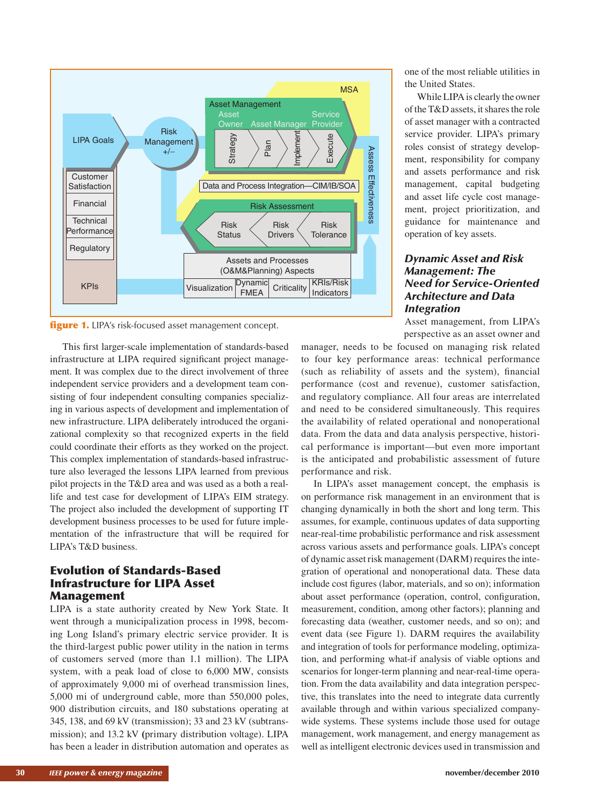

figure 1. LIPA's risk-focused asset management concept.

This first larger-scale implementation of standards-based infrastructure at LIPA required significant project management. It was complex due to the direct involvement of three independent service providers and a development team consisting of four independent consulting companies specializing in various aspects of development and implementation of new infrastructure. LIPA deliberately introduced the organizational complexity so that recognized experts in the field could coordinate their efforts as they worked on the project. This complex implementation of standards-based infrastructure also leveraged the lessons LIPA learned from previous pilot projects in the T&D area and was used as a both a reallife and test case for development of LIPA's EIM strategy. The project also included the development of supporting IT development business processes to be used for future implementation of the infrastructure that will be required for LIPA's T&D business.

## **Evolution of Standards-Based Infrastructure for LIPA Asset Management**

LIPA is a state authority created by New York State. It went through a municipalization process in 1998, becoming Long Island's primary electric service provider. It is the third-largest public power utility in the nation in terms of customers served (more than 1.1 million). The LIPA system, with a peak load of close to 6,000 MW, consists of approximately 9,000 mi of overhead transmission lines, 5,000 mi of underground cable, more than 550,000 poles, 900 distribution circuits, and 180 substations operating at 345, 138, and 69 kV (transmission); 33 and 23 kV (subtransmission); and 13.2 kV **(**primary distribution voltage). LIPA has been a leader in distribution automation and operates as

one of the most reliable utilities in the United States.

While LIPA is clearly the owner of the T&D assets, it shares the role of asset manager with a contracted service provider. LIPA's primary roles consist of strategy development, responsibility for company and assets performance and risk management, capital budgeting and asset life cycle cost management, project prioritization, and guidance for maintenance and operation of key assets.

## *Dynamic Asset and Risk Management: The Need for Service-Oriented Architecture and Data Integration*

Asset management, from LIPA's perspective as an asset owner and

manager, needs to be focused on managing risk related to four key performance areas: technical performance (such as reliability of assets and the system), financial performance (cost and revenue), customer satisfaction, and regulatory compliance. All four areas are interrelated and need to be considered simultaneously. This requires the availability of related operational and nonoperational data. From the data and data analysis perspective, historical performance is important—but even more important is the anticipated and probabilistic assessment of future performance and risk.

In LIPA's asset management concept, the emphasis is on performance risk management in an environment that is changing dynamically in both the short and long term. This assumes, for example, continuous updates of data supporting near-real-time probabilistic performance and risk assessment across various assets and performance goals. LIPA's concept of dynamic asset risk management (DARM) requires the integration of operational and nonoperational data. These data include cost figures (labor, materials, and so on); information about asset performance (operation, control, configuration, measurement, condition, among other factors); planning and forecasting data (weather, customer needs, and so on); and event data (see Figure 1). DARM requires the availability and integration of tools for performance modeling, optimization, and performing what-if analysis of viable options and scenarios for longer-term planning and near-real-time operation. From the data availability and data integration perspective, this translates into the need to integrate data currently available through and within various specialized companywide systems. These systems include those used for outage management, work management, and energy management as well as intelligent electronic devices used in transmission and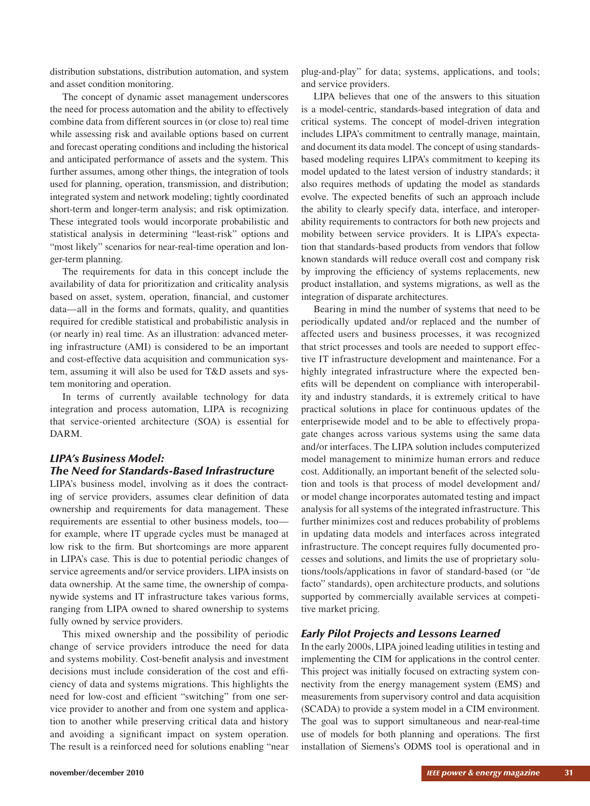distribution substations, distribution automation, and system and asset condition monitoring.

The concept of dynamic asset management underscores the need for process automation and the ability to effectively combine data from different sources in (or close to) real time while assessing risk and available options based on current and forecast operating conditions and including the historical and anticipated performance of assets and the system. This further assumes, among other things, the integration of tools used for planning, operation, transmission, and distribution; integrated system and network modeling; tightly coordinated short-term and longer-term analysis; and risk optimization. These integrated tools would incorporate probabilistic and statistical analysis in determining "least-risk" options and "most likely" scenarios for near-real-time operation and longer-term planning.

The requirements for data in this concept include the availability of data for prioritization and criticality analysis based on asset, system, operation, financial, and customer data—all in the forms and formats, quality, and quantities required for credible statistical and probabilistic analysis in (or nearly in) real time. As an illustration: advanced metering infrastructure (AMI) is considered to be an important and cost-effective data acquisition and communication system, assuming it will also be used for T&D assets and system monitoring and operation.

In terms of currently available technology for data integration and process automation, LIPA is recognizing that service-oriented architecture (SOA) is essential for DARM.

## *LIPA's Business Model: The Need for Standards-Based Infrastructure*

LIPA's business model, involving as it does the contracting of service providers, assumes clear definition of data ownership and requirements for data management. These requirements are essential to other business models, too for example, where IT upgrade cycles must be managed at low risk to the firm. But shortcomings are more apparent in LIPA's case. This is due to potential periodic changes of service agreements and/or service providers. LIPA insists on data ownership. At the same time, the ownership of companywide systems and IT infrastructure takes various forms, ranging from LIPA owned to shared ownership to systems fully owned by service providers.

This mixed ownership and the possibility of periodic change of service providers introduce the need for data and systems mobility. Cost-benefit analysis and investment decisions must include consideration of the cost and efficiency of data and systems migrations. This highlights the need for low-cost and efficient "switching" from one service provider to another and from one system and application to another while preserving critical data and history and avoiding a significant impact on system operation. The result is a reinforced need for solutions enabling "near  plug-and-play" for data; systems, applications, and tools; and service providers.

LIPA believes that one of the answers to this situation is a model-centric, standards-based integration of data and critical systems. The concept of model-driven integration includes LIPA's commitment to centrally manage, maintain, and document its data model. The concept of using standardsbased modeling requires LIPA's commitment to keeping its model updated to the latest version of industry standards; it also requires methods of updating the model as standards evolve. The expected benefits of such an approach include the ability to clearly specify data, interface, and interoperability requirements to contractors for both new projects and mobility between service providers. It is LIPA's expectation that standards-based products from vendors that follow known standards will reduce overall cost and company risk by improving the efficiency of systems replacements, new product installation, and systems migrations, as well as the integration of disparate architectures.

Bearing in mind the number of systems that need to be periodically updated and/or replaced and the number of affected users and business processes, it was recognized that strict processes and tools are needed to support effective IT infrastructure development and maintenance. For a highly integrated infrastructure where the expected benefits will be dependent on compliance with interoperability and industry standards, it is extremely critical to have practical solutions in place for continuous updates of the enterprisewide model and to be able to effectively propagate changes across various systems using the same data and/or interfaces. The LIPA solution includes computerized model management to minimize human errors and reduce cost. Additionally, an important benefit of the selected solution and tools is that process of model development and/ or model change incorporates automated testing and impact analysis for all systems of the integrated infrastructure. This further minimizes cost and reduces probability of problems in updating data models and interfaces across integrated infrastructure. The concept requires fully documented processes and solutions, and limits the use of proprietary solutions/tools/applications in favor of standard-based (or "de facto" standards), open architecture products, and solutions supported by commercially available services at competitive market pricing.

#### *Early Pilot Projects and Lessons Learned*

In the early 2000s, LIPA joined leading utilities in testing and implementing the CIM for applications in the control center. This project was initially focused on extracting system connectivity from the energy management system (EMS) and measurements from supervisory control and data acquisition (SCADA) to provide a system model in a CIM environment. The goal was to support simultaneous and near-real-time use of models for both planning and operations. The first installation of Siemens's ODMS tool is operational and in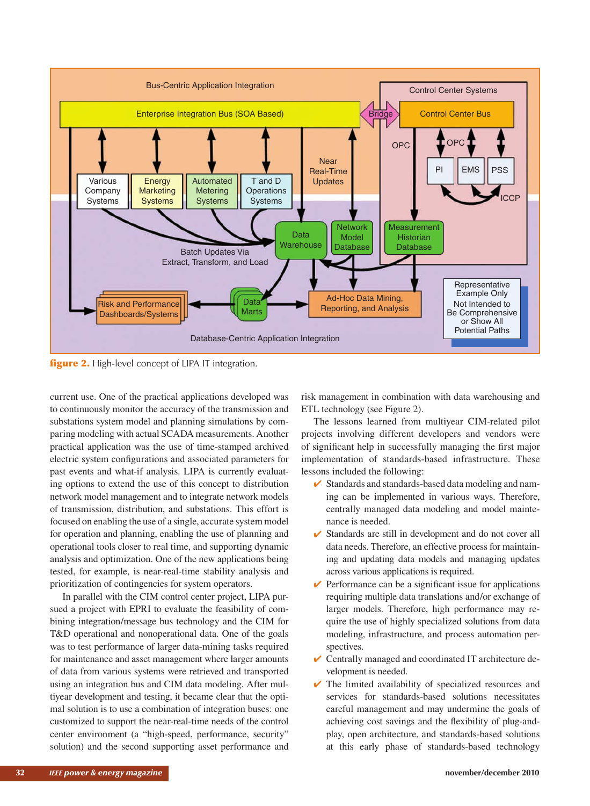

**figure 2.** High-level concept of LIPA IT integration.

 current use. One of the practical applications developed was to continuously monitor the accuracy of the transmission and substations system model and planning simulations by comparing modeling with actual SCADA measurements. Another practical application was the use of time-stamped archived electric system configurations and associated parameters for past events and what-if analysis. LIPA is currently evaluating options to extend the use of this concept to distribution network model management and to integrate network models of transmission, distribution, and substations. This effort is focused on enabling the use of a single, accurate system model for operation and planning, enabling the use of planning and operational tools closer to real time, and supporting dynamic analysis and optimization. One of the new applications being tested, for example, is near-real-time stability analysis and prioritization of contingencies for system operators.

In parallel with the CIM control center project, LIPA pursued a project with EPRI to evaluate the feasibility of combining integration/message bus technology and the CIM for T&D operational and nonoperational data. One of the goals was to test performance of larger data-mining tasks required for maintenance and asset management where larger amounts of data from various systems were retrieved and transported using an integration bus and CIM data modeling. After multiyear development and testing, it became clear that the optimal solution is to use a combination of integration buses: one customized to support the near-real-time needs of the control center environment (a "high-speed, performance, security" solution) and the second supporting asset performance and

risk management in combination with data warehousing and ETL technology (see Figure 2).

The lessons learned from multiyear CIM-related pilot projects involving different developers and vendors were of significant help in successfully managing the first major implementation of standards-based infrastructure. These lessons included the following:

- $\checkmark$  Standards and standards-based data modeling and naming can be implemented in various ways. Therefore, centrally managed data modeling and model maintenance is needed.
- $\checkmark$  Standards are still in development and do not cover all data needs. Therefore, an effective process for maintaining and updating data models and managing updates across various applications is required.
- $\vee$  Performance can be a significant issue for applications requiring multiple data translations and/or exchange of larger models. Therefore, high performance may require the use of highly specialized solutions from data modeling, infrastructure, and process automation perspectives.
- $\vee$  Centrally managed and coordinated IT architecture development is needed.
- $\vee$  The limited availability of specialized resources and services for standards-based solutions necessitates careful management and may undermine the goals of achieving cost savings and the flexibility of plug-andplay, open architecture, and standards-based solutions at this early phase of standards-based technology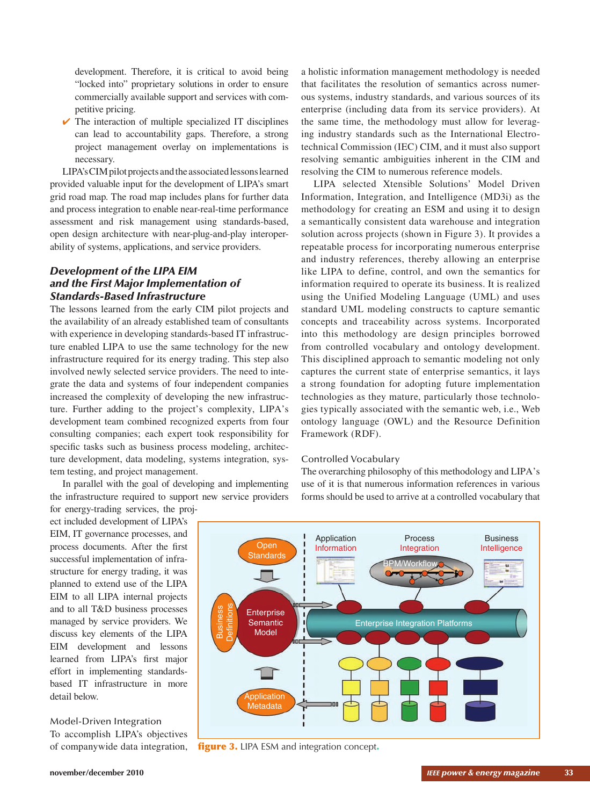development. Therefore, it is critical to avoid being "locked into" proprietary solutions in order to ensure commercially available support and services with competitive pricing.

 $\vee$  The interaction of multiple specialized IT disciplines can lead to accountability gaps. Therefore, a strong project management overlay on implementations is necessary.

LIPA's CIM pilot projects and the associated lessons learned provided valuable input for the development of LIPA's smart grid road map. The road map includes plans for further data and process integration to enable near-real-time performance assessment and risk management using standards-based, open design architecture with near-plug-and-play interoperability of systems, applications, and service providers.

### *Development of the LIPA EIM and the First Major Implementation of Standards-Based Infrastructure*

The lessons learned from the early CIM pilot projects and the availability of an already established team of consultants with experience in developing standards-based IT infrastructure enabled LIPA to use the same technology for the new infrastructure required for its energy trading. This step also involved newly selected service providers. The need to integrate the data and systems of four independent companies increased the complexity of developing the new infrastructure. Further adding to the project's complexity, LIPA's development team combined recognized experts from four consulting companies; each expert took responsibility for specific tasks such as business process modeling, architecture development, data modeling, systems integration, system testing, and project management.

In parallel with the goal of developing and implementing the infrastructure required to support new service providers for energy-trading services, the proj-

ect included development of LIPA's EIM, IT governance processes, and process documents. After the first successful implementation of infrastructure for energy trading, it was planned to extend use of the LIPA EIM to all LIPA internal projects and to all T&D business processes managed by service providers. We discuss key elements of the LIPA EIM development and lessons learned from LIPA's first major effort in implementing standardsbased IT infrastructure in more detail below.

Model-Driven Integration To accomplish LIPA's objectives of companywide data integration, a holistic information management methodology is needed that facilitates the resolution of semantics across numerous systems, industry standards, and various sources of its enterprise (including data from its service providers). At the same time, the methodology must allow for leveraging industry standards such as the International Electrotechnical Commission (IEC) CIM, and it must also support resolving semantic ambiguities inherent in the CIM and resolving the CIM to numerous reference models.

LIPA selected Xtensible Solutions' Model Driven Information, Integration, and Intelligence (MD3i) as the methodology for creating an ESM and using it to design a semantically consistent data warehouse and integration solution across projects (shown in Figure 3). It provides a repeatable process for incorporating numerous enterprise and industry references, thereby allowing an enterprise like LIPA to define, control, and own the semantics for information required to operate its business. It is realized using the Unified Modeling Language (UML) and uses standard UML modeling constructs to capture semantic concepts and traceability across systems. Incorporated into this methodology are design principles borrowed from controlled vocabulary and ontology development. This disciplined approach to semantic modeling not only captures the current state of enterprise semantics, it lays a strong foundation for adopting future implementation technologies as they mature, particularly those technologies typically associated with the semantic web, i.e., Web ontology language (OWL) and the Resource Definition Framework (RDF).

#### Controlled Vocabulary

The overarching philosophy of this methodology and LIPA's use of it is that numerous information references in various forms should be used to arrive at a controlled vocabulary that

![](_page_5_Figure_12.jpeg)

**figure 3.** LIPA ESM and integration concept**.**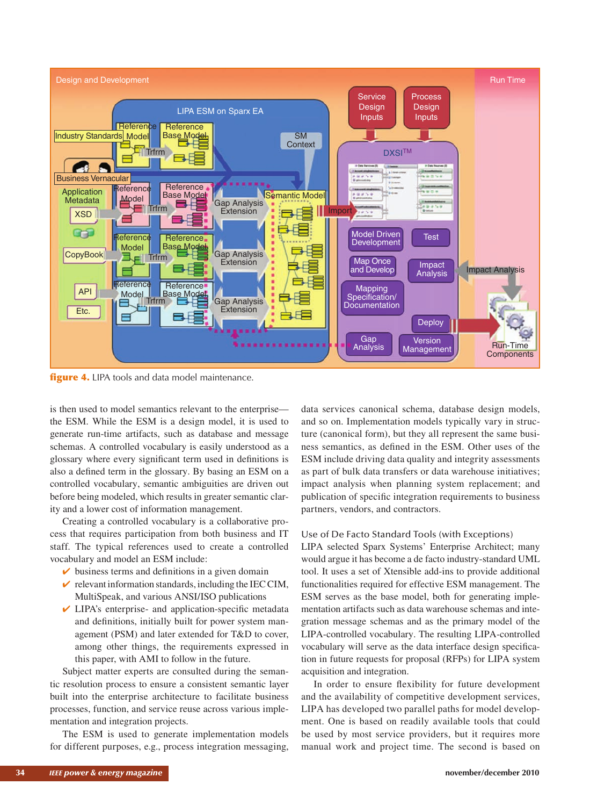![](_page_6_Figure_0.jpeg)

**figure 4.** LIPA tools and data model maintenance.

is then used to model semantics relevant to the enterprise the ESM. While the ESM is a design model, it is used to generate run-time artifacts, such as database and message schemas. A controlled vocabulary is easily understood as a glossary where every significant term used in definitions is also a defined term in the glossary. By basing an ESM on a controlled vocabulary, semantic ambiguities are driven out before being modeled, which results in greater semantic clarity and a lower cost of information management.

Creating a controlled vocabulary is a collaborative process that requires participation from both business and IT staff. The typical references used to create a controlled vocabulary and model an ESM include:

- $\vee$  business terms and definitions in a given domain
- $\vee$  relevant information standards, including the IEC CIM, MultiSpeak, and various ANSI/ISO publications
- $\vee$  LIPA's enterprise- and application-specific metadata and definitions, initially built for power system management (PSM) and later extended for T&D to cover, among other things, the requirements expressed in this paper, with AMI to follow in the future.

Subject matter experts are consulted during the semantic resolution process to ensure a consistent semantic layer built into the enterprise architecture to facilitate business processes, function, and service reuse across various implementation and integration projects.

The ESM is used to generate implementation models for different purposes, e.g., process integration messaging,

data services canonical schema, database design models, and so on. Implementation models typically vary in structure (canonical form), but they all represent the same business semantics, as defined in the ESM. Other uses of the ESM include driving data quality and integrity assessments as part of bulk data transfers or data warehouse initiatives; impact analysis when planning system replacement; and publication of specific integration requirements to business partners, vendors, and contractors.

#### Use of De Facto Standard Tools (with Exceptions)

LIPA selected Sparx Systems' Enterprise Architect; many would argue it has become a de facto industry-standard UML tool. It uses a set of Xtensible add-ins to provide additional functionalities required for effective ESM management. The ESM serves as the base model, both for generating implementation artifacts such as data warehouse schemas and integration message schemas and as the primary model of the LIPA-controlled vocabulary. The resulting LIPA-controlled vocabulary will serve as the data interface design specification in future requests for proposal (RFPs) for LIPA system acquisition and integration.

In order to ensure flexibility for future development and the availability of competitive development services, LIPA has developed two parallel paths for model development. One is based on readily available tools that could be used by most service providers, but it requires more manual work and project time. The second is based on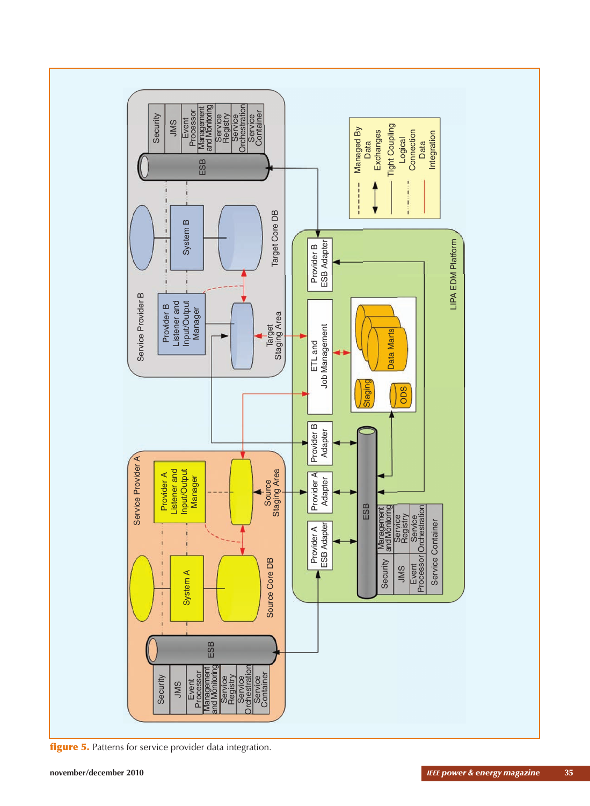![](_page_7_Figure_0.jpeg)